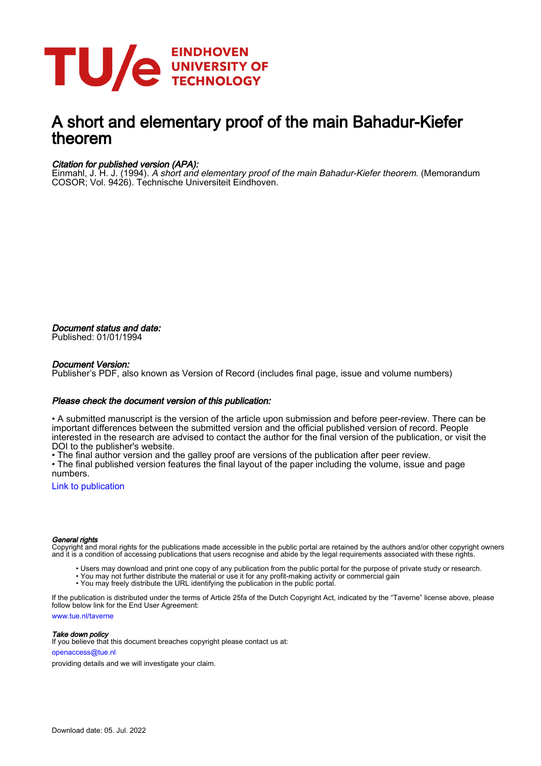

# A short and elementary proof of the main Bahadur-Kiefer theorem

### Citation for published version (APA):

Einmahl, J. H. J. (1994). A short and elementary proof of the main Bahadur-Kiefer theorem. (Memorandum COSOR; Vol. 9426). Technische Universiteit Eindhoven.

Document status and date: Published: 01/01/1994

### Document Version:

Publisher's PDF, also known as Version of Record (includes final page, issue and volume numbers)

#### Please check the document version of this publication:

• A submitted manuscript is the version of the article upon submission and before peer-review. There can be important differences between the submitted version and the official published version of record. People interested in the research are advised to contact the author for the final version of the publication, or visit the DOI to the publisher's website.

• The final author version and the galley proof are versions of the publication after peer review.

• The final published version features the final layout of the paper including the volume, issue and page numbers.

[Link to publication](https://research.tue.nl/en/publications/1a4d5943-93d1-43b5-8611-71a405dcbcdc)

#### General rights

Copyright and moral rights for the publications made accessible in the public portal are retained by the authors and/or other copyright owners and it is a condition of accessing publications that users recognise and abide by the legal requirements associated with these rights.

- Users may download and print one copy of any publication from the public portal for the purpose of private study or research.
- You may not further distribute the material or use it for any profit-making activity or commercial gain
- You may freely distribute the URL identifying the publication in the public portal.

If the publication is distributed under the terms of Article 25fa of the Dutch Copyright Act, indicated by the "Taverne" license above, please follow below link for the End User Agreement:

www.tue.nl/taverne

**Take down policy**<br>If you believe that this document breaches copyright please contact us at:

openaccess@tue.nl

providing details and we will investigate your claim.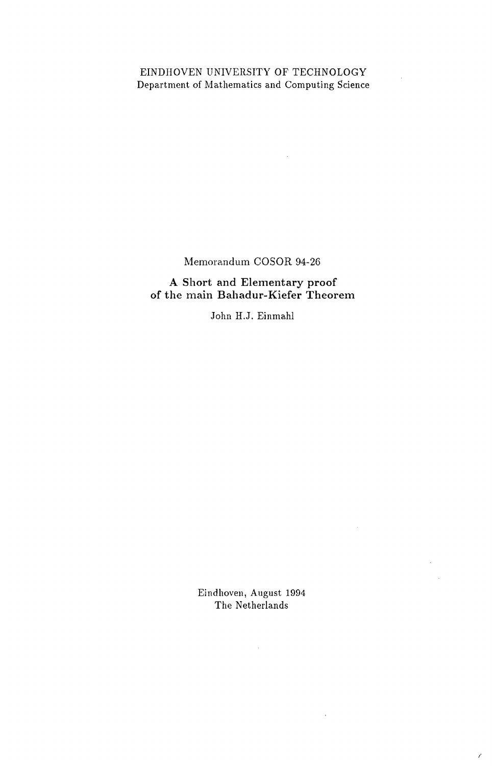# EINDHOVEN UNIVERSITY OF TECHNOLOGY Department of Mathematics and Computing Science

 $\sim 10$ 

Memorandum COSOR 94-26

A Short and Elementary proof of the main Bahadur-Kiefer Theorem

John H.J. Einmahl

Eindhoven, August 1994 The Netherlands

 $\sim 10^{-10}$ 

 $\hat{\mathcal{A}}$ 

 $\sim 10^{-11}$ 

/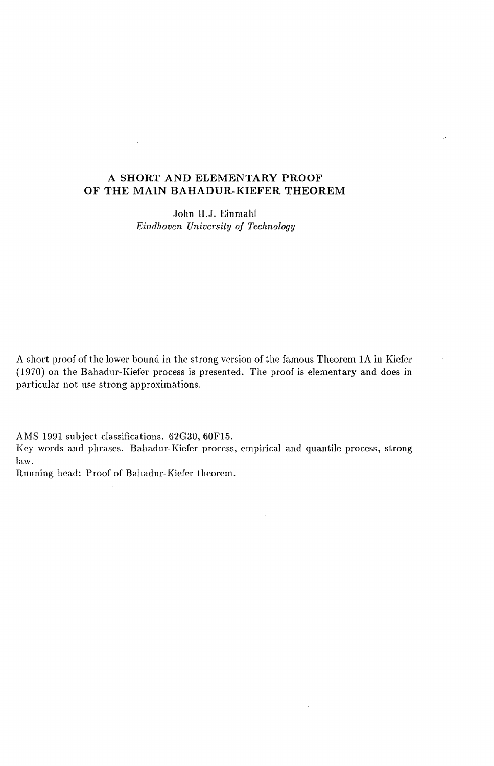## A **SHORT AND ELEMENTARY PROOF OF THE MAIN BAHADUR-KIEFER THEOREM**

 $\overline{a}$ 

John H.J. Einmahl *Eindhoven University of Technology* 

A short proof of the lower bound in the strong version of the famous Theorem 1A in Kiefer (1970) on the Bahadur-Kiefer process is presented. The proof is elementary and does in particular not use strong approximations.

AMS 1991 subject classifications. 62G30, 60F15. Key words and phrases. Bahadur-Kiefer process, empirical and quantile process, strong law.

 $\mathcal{L}^{\mathcal{L}}$ 

Running head: Proof of Bahadur-Kiefer theorem.

 $\mathcal{A}^{\mathcal{A}}$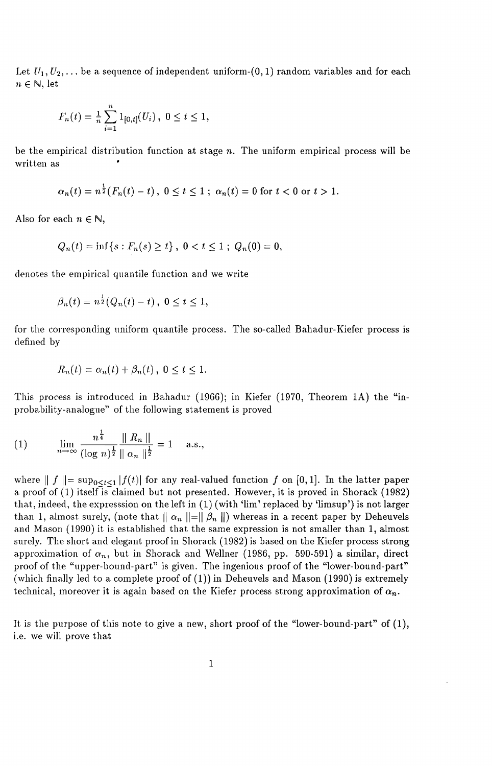Let  $U_1, U_2, \ldots$  be a sequence of independent uniform-(0, 1) random variables and for each  $n \in \mathbb{N}$ , let

$$
F_n(t) = \frac{1}{n} \sum_{i=1}^n 1_{[0,t]}(U_i), \ 0 \le t \le 1,
$$

be the empirical distribution function at stage *n.* The uniform empirical process will be written as

$$
\alpha_n(t) = n^{\frac{1}{2}}(F_n(t) - t), \ 0 \le t \le 1 \ ; \ \alpha_n(t) = 0 \text{ for } t < 0 \text{ or } t > 1.
$$

Also for each  $n \in \mathbb{N}$ ,

$$
Q_n(t) = \inf\{s : F_n(s) \ge t\}, \ 0 < t \le 1 \ ; \ Q_n(0) = 0,
$$

denotes the empirical quantile function and we write

$$
\beta_n(t) = n^{\frac{1}{2}}(Q_n(t) - t), \ 0 \le t \le 1,
$$

for the corresponding uniform quantile process. The so-called Bahadur-Kiefer process is defined by

$$
R_n(t) = \alpha_n(t) + \beta_n(t), \ 0 \le t \le 1.
$$

This process is introduced in Bahadur (1966); in Kiefer (1970, Theorem 1A) the "inprobability-analogue" of the following statement is proved

(1) 
$$
\lim_{n \to \infty} \frac{n^{\frac{1}{4}}}{(\log n)^{\frac{1}{2}}} \frac{\| R_n \|}{\| \alpha_n \|^{\frac{1}{2}}} = 1 \quad \text{a.s.},
$$

where  $|| f || = \sup_{0 \le t \le 1} |f(t)|$  for any real-valued function f on [0,1]. In the latter paper a proof of  $(1)$  itself is claimed but not presented. However, it is proved in Shorack (1982) that, indeed, the expresssion on the left in (1) (with 'lim' replaced by 'limsup') is not larger than 1, almost surely, (note that  $\| \alpha_n \| = \| \beta_n \|$ ) whereas in a recent paper by Deheuvels and Mason (1990) it is established that the same expression is not smaller than 1, almost surely. The short and elegant proof in Shorack (1982) is based on the Kiefer process strong approximation of  $\alpha_n$ , but in Shorack and Wellner (1986, pp. 590-591) a similar, direct proof of the "upper-bound-part" is given. The ingenious proof of the "lower-bound-part" (which finally led to a complete proof of (1)) in Deheuvels and Mason (1990) is extremely technical, moreover it is again based on the Kiefer process strong approximation of  $\alpha_n$ .

It is the purpose of this note to give a new, short proof of the "lower-bound-part" of (1), i.e. we will prove that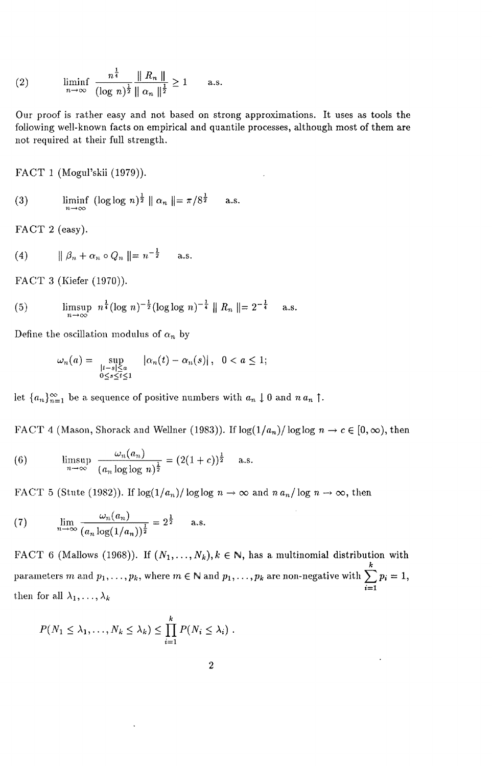(2) 
$$
\liminf_{n \to \infty} \frac{n^{\frac{1}{4}}}{(\log n)^{\frac{1}{2}}} \frac{\| R_n \|}{\| \alpha_n \|^{\frac{1}{2}}} \ge 1 \quad \text{a.s.}
$$

Our proof is rather easy and not based on strong approximations. It uses as tools the following well-known facts on empirical and quantile processes, although most of them are not required at their full strength.

FACT 1 (Mogul'skii (1979)).

(3) 
$$
\liminf_{n \to \infty} (\log \log n)^{\frac{1}{2}} \| \alpha_n \| = \pi / 8^{\frac{1}{2}} \quad \text{a.s.}
$$

FACT 2 (easy).

(4) 
$$
\|\beta_n + \alpha_n \circ Q_n\| = n^{-\frac{1}{2}} \quad \text{a.s.}
$$

FACT 3 (Kiefer (1970)).

(5) 
$$
\limsup_{n \to \infty} n^{\frac{1}{4}} (\log n)^{-\frac{1}{2}} (\log \log n)^{-\frac{1}{4}} \| R_n \| = 2^{-\frac{1}{4}} \text{ a.s.}
$$

Define the oscillation modulus of  $\alpha_n$  by

$$
\omega_n(a) = \sup_{\substack{|t-s| \le a \\ 0 \le s \le t \le 1}} |\alpha_n(t) - \alpha_n(s)|, \quad 0 < a \le 1;
$$

let  ${a_n}_{n=1}^{\infty}$  be a sequence of positive numbers with  $a_n \downarrow 0$  and  $n a_n \uparrow$ .

FACT 4 (Mason, Shorack and Wellner (1983)). If  $\log(1/a_n)/\log \log n \to c \in [0,\infty)$ , then

(6) 
$$
\limsup_{n \to \infty} \frac{\omega_n(a_n)}{(a_n \log \log n)^{\frac{1}{2}}} = (2(1+c))^{\frac{1}{2}} \text{ a.s.}
$$

FACT 5 (Stute (1982)). If  $\log(1/a_n)/\log \log n \to \infty$  and  $n a_n/\log n \to \infty$ , then

(7) 
$$
\lim_{n \to \infty} \frac{\omega_n(a_n)}{(a_n \log(1/a_n))^{\frac{1}{2}}} = 2^{\frac{1}{2}} \quad \text{a.s.}
$$

FACT 6 (Mallows (1968)). If  $(N_1, \ldots, N_k), k \in \mathbb{N}$ , has a multinomial distribution with parameters  $m$  and  $p_1, \ldots, p_k,$  where  $m\in\mathbb{N}$  and  $p_1, \ldots, p_k$  are non-negative with  $\sum^k p_i = 1,$  $\sum_{i=1}$ then for all  $\lambda_1, \ldots, \lambda_k$ 

$$
P(N_1 \leq \lambda_1, \ldots, N_k \leq \lambda_k) \leq \prod_{i=1}^k P(N_i \leq \lambda_i).
$$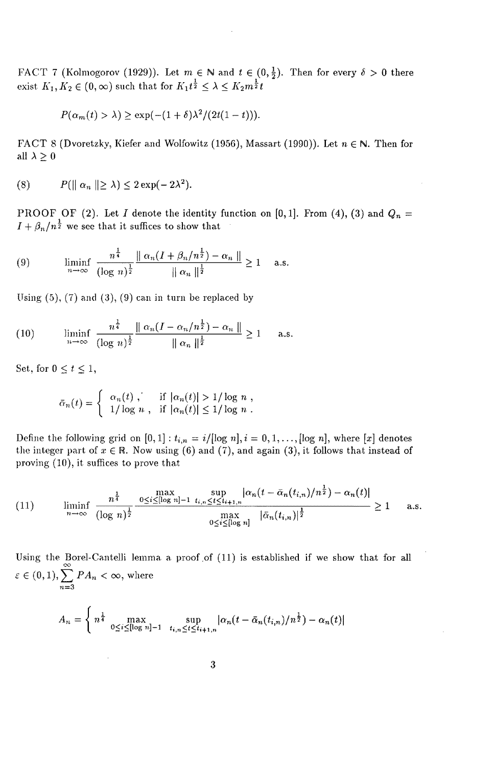FACT 7 (Kolmogorov (1929)). Let  $m \in \mathbb{N}$  and  $t \in (0, \frac{1}{2})$ . Then for every  $\delta > 0$  there exist  $K_1, K_2 \in (0, \infty)$  such that for  $K_1 t^{\frac{1}{2}} \leq \lambda \leq K_2 m^{\frac{1}{2}}t$ .

$$
P(\alpha_m(t) > \lambda) \ge \exp(-(1+\delta)\lambda^2/(2t(1-t))).
$$

FACT 8 (Dvoretzky, Kiefer and Wolfowitz (1956), Massart (1990)). Let  $n \in \mathbb{N}$ . Then for all  $\lambda \geq 0$ 

$$
(8) \tP(\parallel \alpha_n \parallel \geq \lambda) \leq 2 \exp(-2\lambda^2).
$$

PROOF OF (2). Let I denote the identity function on  $[0,1]$ . From (4), (3) and  $Q_n =$  $I+\beta_n/n^{\frac{1}{2}}$  we see that it suffices to show that

(9) 
$$
\liminf_{n \to \infty} \frac{n^{\frac{1}{4}}}{(\log n)^{\frac{1}{2}}} \frac{\|\alpha_n (I + \beta_n/n^{\frac{1}{2}}) - \alpha_n\|}{\|\alpha_n\|^{\frac{1}{2}}} \ge 1 \quad \text{a.s.}
$$

Using  $(5)$ ,  $(7)$  and  $(3)$ ,  $(9)$  can in turn be replaced by

(10) 
$$
\liminf_{n \to \infty} \frac{n^{\frac{1}{4}}}{(\log n)^{\frac{1}{2}}} \frac{\|\alpha_n (I - \alpha_n/n^{\frac{1}{2}}) - \alpha_n\|}{\|\alpha_n\|^{\frac{1}{2}}} \ge 1 \quad \text{a.s.}
$$

Set, for  $0 \le t \le 1$ ,

$$
\bar{\alpha}_n(t) = \begin{cases} \alpha_n(t), & \text{if } |\alpha_n(t)| > 1/\log n, \\ \frac{1}{\log n}, & \text{if } |\alpha_n(t)| \leq 1/\log n. \end{cases}
$$

Define the following grid on  $[0,1]: t_{i,n} = i/[\log n], i = 0,1,\ldots, [\log n],$  where  $[x]$  denotes the integer part of  $x \in \mathbb{R}$ . Now using (6) and (7), and again (3), it follows that instead of proving (10), it suffices to prove that

(11) 
$$
\liminf_{n \to \infty} \frac{n^{\frac{1}{4}}}{(\log n)^{\frac{1}{2}}} \frac{\max_{0 \le i \le [\log n]-1} \sup_{t_i, n \le t \le t_{i+1,n}} |\alpha_n(t - \bar{\alpha}_n(t_{i,n})/n^{\frac{1}{2}}) - \alpha_n(t)|}{\max_{0 \le i \le [\log n]} |\bar{\alpha}_n(t_{i,n})|^{\frac{1}{2}}} \ge 1 \quad \text{a.s.}
$$

Using the Borel-Cantelli lemma a proof of (11) is established if we show that for all  $\epsilon \in (0,1), \sum_{n=1}^{\infty} PA_n < \infty$ , where  $n = 3$ 

$$
A_n = \begin{cases} n^{\frac{1}{4}} & \text{max} \\ 0 \le i \le [\log n] - 1 & t_{i,n} \le t \le t_{i+1,n} \end{cases} \left| \alpha_n(t - \bar{\alpha}_n(t_{i,n})/n^{\frac{1}{2}}) - \alpha_n(t) \right|
$$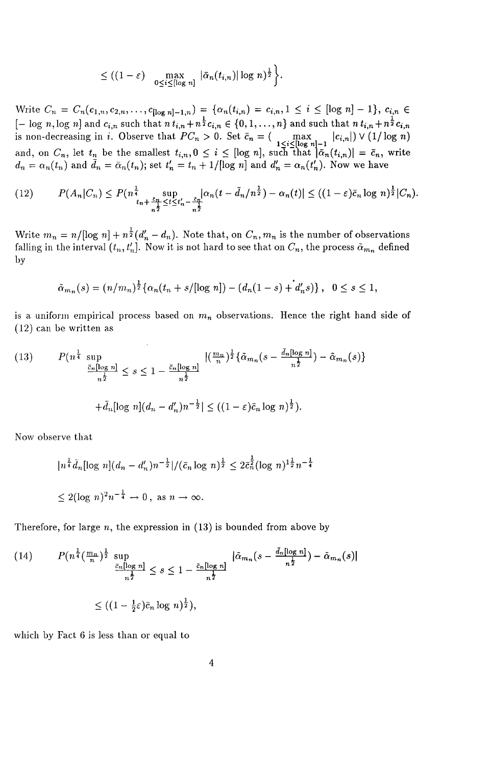$$
\leq ((1-\varepsilon)\max_{0\leq i\leq [\log n]}|\bar{\alpha}_n(t_{i,n})|\log n)^{\frac{1}{2}}\bigg\}.
$$

 $\text{Write } C_n = C_n(c_{1,n}, c_{2,n}, \ldots, c_{\lfloor \log n \rfloor - 1,n}) = \{ \alpha_n(t_{i,n}) = c_{i,n}, 1 \leq i \leq [\log n] - 1 \}, c_{i,n} \in \text{[if } i \leq n-1 \}$  $[- \log n, \log n]$  and  $c_{i,n}$  such that  $n t_{i,n} + n^{\frac{1}{2}} c_{i,n} \in \{0, 1, ..., n\}$  and such that  $n t_{i,n} + n^{\frac{1}{2}} c_{i,n}$ is non-decreasing in *i*. Observe that  $PC_n > 0$ . Set  $\bar{c}_n = (\max_{1 \leq i \leq [\log n]-1} |c_{i,n}|) \vee (1/\log n)$ and, on  $C_n$ , let  $t_n$  be the smallest  $t_{i,n}, 0 \leq i \leq [\log n]$ , such that  $|\bar{a}_n(t_{i,n})| = \bar{c}_n$ , write  $d_n = \alpha_n(t_n)$  and  $\ddot{d}_n = \bar{\alpha}_n(t_n)$ ; set  $t'_n = t_n + 1/[\log n]$  and  $d'_n = \alpha_n(t'_n)$ . Now we have

$$
(12) \qquad P(A_n|C_n) \le P(n^{\frac{1}{4}}_{\frac{t_n}{n^{\frac{1}{2}}}} \sup_{\le t \le t'_n - \frac{\varepsilon_n}{n^{\frac{1}{2}}}} |\alpha_n(t - \bar{d}_n/n^{\frac{1}{2}}) - \alpha_n(t)| \le ((1 - \varepsilon)\bar{c}_n \log n)^{\frac{1}{2}}|C_n).
$$

Write  $m_n = n/[\log n] + n^{\frac{1}{2}}(d'_n - d_n)$ . Note that, on  $C_n, m_n$  is the number of observations falling in the interval  $(t_n, t'_n]$ . Now it is not hard to see that on  $C_n$ , the process  $\tilde{\alpha}_{m_n}$  defined by

$$
\tilde{\alpha}_{m_n}(s) = (n/m_n)^{\frac{1}{2}} \{ \alpha_n(t_n + s/[\log n]) - (d_n(1-s) + d'_n s) \}, \quad 0 \le s \le 1,
$$

is a uniform empirical process based on 1n*n* observations. Hence the right hand side of (12) can be written as

(13) 
$$
P(n^{\frac{1}{4}} \sup_{\substack{\bar{c}_n[\log n] \\ n^{\frac{1}{2}}} \leq s \leq 1 - \frac{\bar{c}_n[\log n]}{n^{\frac{1}{2}}} \frac{|\left(\frac{m_n}{n}\right)^{\frac{1}{2}} \{\tilde{\alpha}_{m_n}(s - \frac{\bar{d}_n[\log n]}{n^{\frac{1}{2}}}) - \tilde{\alpha}_{m_n}(s)\}}{|\tilde{d}_n - d'_n|n^{-\frac{1}{2}}| \leq ((1 - \varepsilon)\bar{c}_n \log n)^{\frac{1}{2}}.
$$

Now observe that

$$
|n^{\frac{1}{4}}\bar{d}_n[\log n](d_n - d'_n)n^{-\frac{1}{2}}|/(\bar{c}_n \log n)^{\frac{1}{2}} \le 2\bar{c}_n^{\frac{1}{2}}(\log n)^{1\frac{1}{2}}n^{-\frac{1}{4}}
$$
  

$$
\le 2(\log n)^2 n^{-\frac{1}{4}} \to 0, \text{ as } n \to \infty.
$$

Therefore, for large  $n$ , the expression in  $(13)$  is bounded from above by

(14) 
$$
P(n^{\frac{1}{4}}(\frac{m_n}{n})^{\frac{1}{2}} \sup_{\frac{\bar{c}_n[\log n]}{n^{\frac{1}{2}}} \leq s \leq 1 - \frac{\bar{c}_n[\log n]}{n^{\frac{1}{2}}}\left|\tilde{\alpha}_{m_n}(s - \frac{\bar{d}_n[\log n]}{n^{\frac{1}{2}}}) - \tilde{\alpha}_{m_n}(s)\right|
$$

$$
\leq ((1 - \frac{1}{2}\varepsilon)\bar{c}_n \log n)^{\frac{1}{2}}),
$$

which by Fact  $6$  is less than or equal to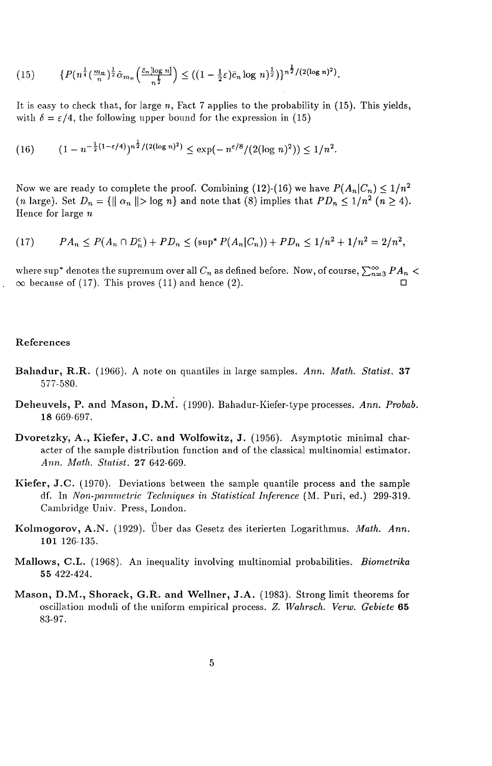$$
(15) \qquad \{P(n^{\frac{1}{4}}(\frac{m_n}{n})^{\frac{1}{2}}\tilde{\alpha}_{m_n}\left(\frac{\bar{c}_n[\log n]}{n^{\frac{1}{2}}}\right) \le ((1-\frac{1}{2}\varepsilon)\bar{c}_n\log n)^{\frac{1}{2}})\}^{n^{\frac{1}{2}}/(2(\log n)^2)}.
$$

It is easy to check that, for large *n,* Fact 7 applies to the probability in (15). This yields, with  $\delta = \varepsilon/4$ , the following upper bound for the expression in (15)

$$
(16) \qquad (1 - n^{-\frac{1}{2}(1 - \varepsilon/4)})^{n^{\frac{1}{2}}/(2(\log n)^2)} \le \exp(-n^{\varepsilon/8}/(2(\log n)^2)) \le 1/n^2.
$$

Now we are ready to complete the proof. Combining (12)-(16) we have  $P(A_n|C_n) \leq 1/n^2$ (*n* large). Set  $D_n = \{||\alpha_n|| > \log n\}$  and note that (8) implies that  $PD_n \leq 1/n^2$  ( $n \geq 4$ ). Hence for large  $n$ 

$$
(17) \qquad PA_n \le P(A_n \cap D_n^c) + PD_n \le (\sup^* P(A_n | C_n)) + PD_n \le 1/n^2 + 1/n^2 = 2/n^2,
$$

where sup\* denotes the supremum over all  $C_n$  as defined before. Now, of course,  $\sum_{n=3}^{\infty} PA_n$  <  $\infty$  because of (17). This proves (11) and hence (2).

#### References

- Bahadur, R.R. (1966). A note Oil quantiles in large samples. *Ann. Math. Statist.* 37 577-580.
- Deheuvels, P. and Mason, D.M. (1990). Bahadur-Kiefer-type processes. *Ann. Probab.*  18 669-697.
- Dvoretzky, A., Kiefer, J.C. and Wolfowitz, J. (1956). Asymptotic minimal character of the sample distribution function and of the classical multinomial estimator. *Ann. A1alh. Statist.* 27 642-669.
- Kiefer, J.C. (1970). Deviations between the sample quantile process and the sample df. In *Non-parametric Techniques in Statistical Inference* (M. Puri, ed.) 299-319. Cambridge Univ. Press, London.
- Kolmogorov, A.N. (1929). Über das Gesetz des iterierten Logarithmus. *Math. Ann.* 101 126-135.
- Mallows, C.L. (1968). An inequality involving multinomial probabilities. *Biometrika*  55 422-424.
- Mason, D.M., Shorack, G.R. and Wellner, J.A. (1983). Strong limit theorems for oscillation moduli of the uniform empirical process. *Z. Wahrsch. Verw. Gebiete 65*  83-97.